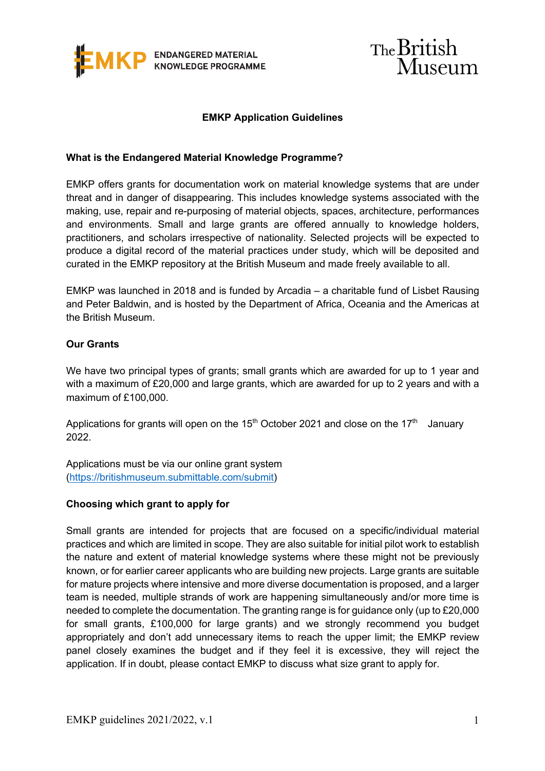



## **EMKP Application Guidelines**

### **What is the Endangered Material Knowledge Programme?**

EMKP offers grants for documentation work on material knowledge systems that are under threat and in danger of disappearing. This includes knowledge systems associated with the making, use, repair and re-purposing of material objects, spaces, architecture, performances and environments. Small and large grants are offered annually to knowledge holders, practitioners, and scholars irrespective of nationality. Selected projects will be expected to produce a digital record of the material practices under study, which will be deposited and curated in the EMKP repository at the British Museum and made freely available to all.

EMKP was launched in 2018 and is funded by Arcadia – a charitable fund of Lisbet Rausing and Peter Baldwin, and is hosted by the Department of Africa, Oceania and the Americas at the British Museum.

## **Our Grants**

We have two principal types of grants; small grants which are awarded for up to 1 year and with a maximum of £20,000 and large grants, which are awarded for up to 2 years and with a maximum of £100,000.

Applications for grants will open on the  $15<sup>th</sup>$  October 2021 and close on the  $17<sup>th</sup>$  January 2022.

Applications must be via our online grant system (https://britishmuseum.submittable.com/submit)

#### **Choosing which grant to apply for**

Small grants are intended for projects that are focused on a specific/individual material practices and which are limited in scope. They are also suitable for initial pilot work to establish the nature and extent of material knowledge systems where these might not be previously known, or for earlier career applicants who are building new projects. Large grants are suitable for mature projects where intensive and more diverse documentation is proposed, and a larger team is needed, multiple strands of work are happening simultaneously and/or more time is needed to complete the documentation. The granting range is for guidance only (up to £20,000 for small grants, £100,000 for large grants) and we strongly recommend you budget appropriately and don't add unnecessary items to reach the upper limit; the EMKP review panel closely examines the budget and if they feel it is excessive, they will reject the application. If in doubt, please contact EMKP to discuss what size grant to apply for.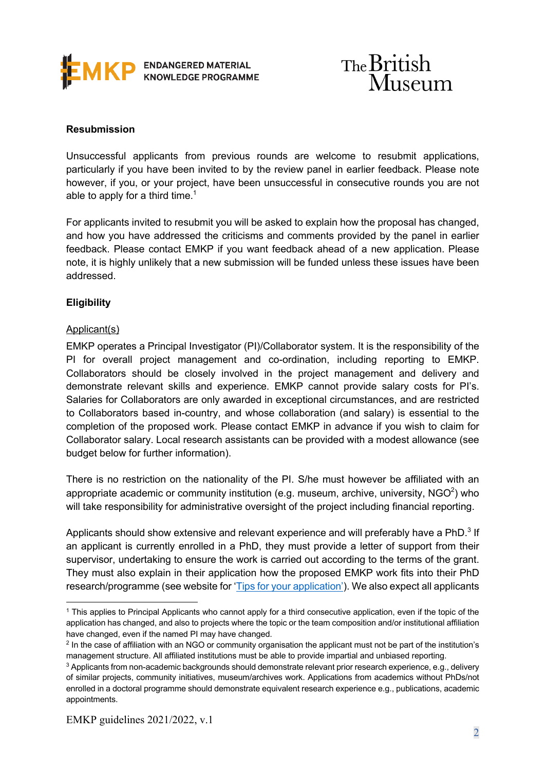



# **Resubmission**

Unsuccessful applicants from previous rounds are welcome to resubmit applications, particularly if you have been invited to by the review panel in earlier feedback. Please note however, if you, or your project, have been unsuccessful in consecutive rounds you are not able to apply for a third time. $1$ 

For applicants invited to resubmit you will be asked to explain how the proposal has changed, and how you have addressed the criticisms and comments provided by the panel in earlier feedback. Please contact EMKP if you want feedback ahead of a new application. Please note, it is highly unlikely that a new submission will be funded unless these issues have been addressed.

## **Eligibility**

## Applicant(s)

EMKP operates a Principal Investigator (PI)/Collaborator system. It is the responsibility of the PI for overall project management and co-ordination, including reporting to EMKP. Collaborators should be closely involved in the project management and delivery and demonstrate relevant skills and experience. EMKP cannot provide salary costs for PI's. Salaries for Collaborators are only awarded in exceptional circumstances, and are restricted to Collaborators based in-country, and whose collaboration (and salary) is essential to the completion of the proposed work. Please contact EMKP in advance if you wish to claim for Collaborator salary. Local research assistants can be provided with a modest allowance (see budget below for further information).

There is no restriction on the nationality of the PI. S/he must however be affiliated with an appropriate academic or community institution (e.g. museum, archive, university, NGO<sup>2</sup>) who will take responsibility for administrative oversight of the project including financial reporting.

Applicants should show extensive and relevant experience and will preferably have a PhD.<sup>3</sup> If an applicant is currently enrolled in a PhD, they must provide a letter of support from their supervisor, undertaking to ensure the work is carried out according to the terms of the grant. They must also explain in their application how the proposed EMKP work fits into their PhD research/programme (see website for 'Tips for your application'). We also expect all applicants

<sup>1</sup> This applies to Principal Applicants who cannot apply for a third consecutive application, even if the topic of the application has changed, and also to projects where the topic or the team composition and/or institutional affiliation have changed, even if the named PI may have changed.

<sup>&</sup>lt;sup>2</sup> In the case of affiliation with an NGO or community organisation the applicant must not be part of the institution's management structure. All affiliated institutions must be able to provide impartial and unbiased reporting.

<sup>&</sup>lt;sup>3</sup> Applicants from non-academic backgrounds should demonstrate relevant prior research experience, e.g., delivery of similar projects, community initiatives, museum/archives work. Applications from academics without PhDs/not enrolled in a doctoral programme should demonstrate equivalent research experience e.g., publications, academic appointments.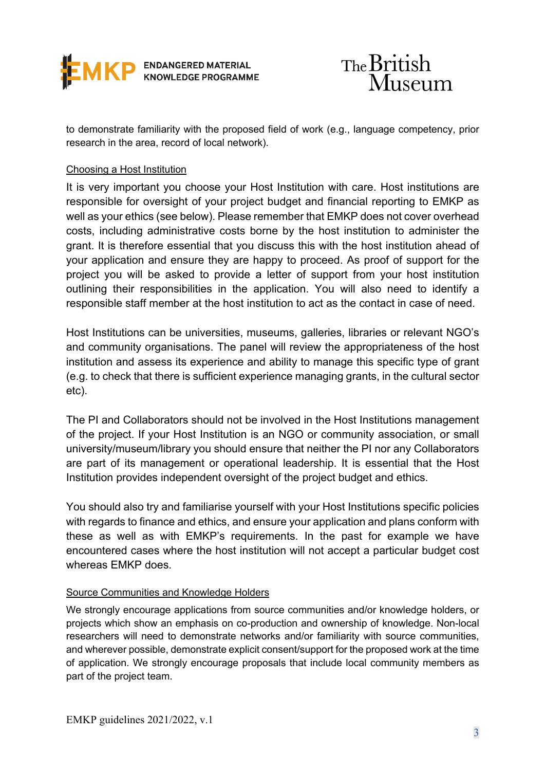



to demonstrate familiarity with the proposed field of work (e.g., language competency, prior research in the area, record of local network).

## Choosing a Host Institution

It is very important you choose your Host Institution with care. Host institutions are responsible for oversight of your project budget and financial reporting to EMKP as well as your ethics (see below). Please remember that EMKP does not cover overhead costs, including administrative costs borne by the host institution to administer the grant. It is therefore essential that you discuss this with the host institution ahead of your application and ensure they are happy to proceed. As proof of support for the project you will be asked to provide a letter of support from your host institution outlining their responsibilities in the application. You will also need to identify a responsible staff member at the host institution to act as the contact in case of need.

Host Institutions can be universities, museums, galleries, libraries or relevant NGO's and community organisations. The panel will review the appropriateness of the host institution and assess its experience and ability to manage this specific type of grant (e.g. to check that there is sufficient experience managing grants, in the cultural sector etc).

The PI and Collaborators should not be involved in the Host Institutions management of the project. If your Host Institution is an NGO or community association, or small university/museum/library you should ensure that neither the PI nor any Collaborators are part of its management or operational leadership. It is essential that the Host Institution provides independent oversight of the project budget and ethics.

You should also try and familiarise yourself with your Host Institutions specific policies with regards to finance and ethics, and ensure your application and plans conform with these as well as with EMKP's requirements. In the past for example we have encountered cases where the host institution will not accept a particular budget cost whereas EMKP does.

# Source Communities and Knowledge Holders

We strongly encourage applications from source communities and/or knowledge holders, or projects which show an emphasis on co-production and ownership of knowledge. Non-local researchers will need to demonstrate networks and/or familiarity with source communities, and wherever possible, demonstrate explicit consent/support for the proposed work at the time of application. We strongly encourage proposals that include local community members as part of the project team.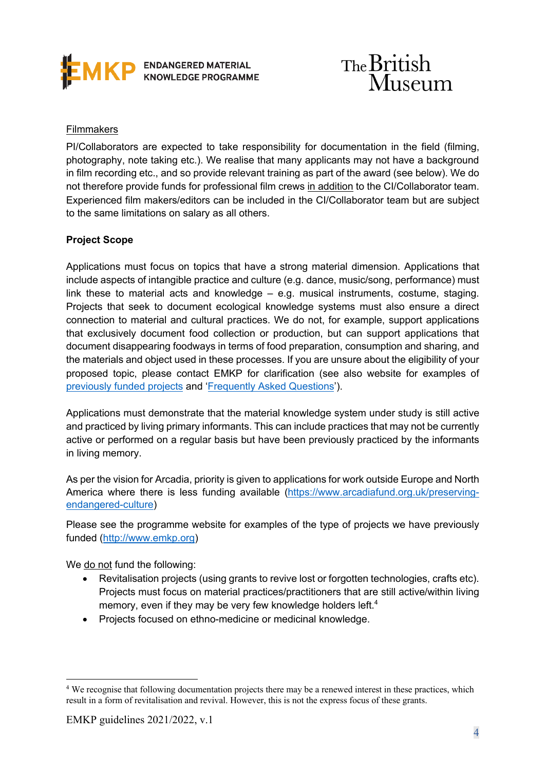



## **Filmmakers**

PI/Collaborators are expected to take responsibility for documentation in the field (filming, photography, note taking etc.). We realise that many applicants may not have a background in film recording etc., and so provide relevant training as part of the award (see below). We do not therefore provide funds for professional film crews in addition to the CI/Collaborator team. Experienced film makers/editors can be included in the CI/Collaborator team but are subject to the same limitations on salary as all others.

# **Project Scope**

Applications must focus on topics that have a strong material dimension. Applications that include aspects of intangible practice and culture (e.g. dance, music/song, performance) must link these to material acts and knowledge – e.g. musical instruments, costume, staging. Projects that seek to document ecological knowledge systems must also ensure a direct connection to material and cultural practices. We do not, for example, support applications that exclusively document food collection or production, but can support applications that document disappearing foodways in terms of food preparation, consumption and sharing, and the materials and object used in these processes. If you are unsure about the eligibility of your proposed topic, please contact EMKP for clarification (see also website for examples of previously funded projects and 'Frequently Asked Questions').

Applications must demonstrate that the material knowledge system under study is still active and practiced by living primary informants. This can include practices that may not be currently active or performed on a regular basis but have been previously practiced by the informants in living memory.

As per the vision for Arcadia, priority is given to applications for work outside Europe and North America where there is less funding available (https://www.arcadiafund.org.uk/preservingendangered-culture)

Please see the programme website for examples of the type of projects we have previously funded (http://www.emkp.org)

We do not fund the following:

- Revitalisation projects (using grants to revive lost or forgotten technologies, crafts etc). Projects must focus on material practices/practitioners that are still active/within living memory, even if they may be very few knowledge holders left.<sup>4</sup>
- Projects focused on ethno-medicine or medicinal knowledge.

<sup>&</sup>lt;sup>4</sup> We recognise that following documentation projects there may be a renewed interest in these practices, which result in a form of revitalisation and revival. However, this is not the express focus of these grants.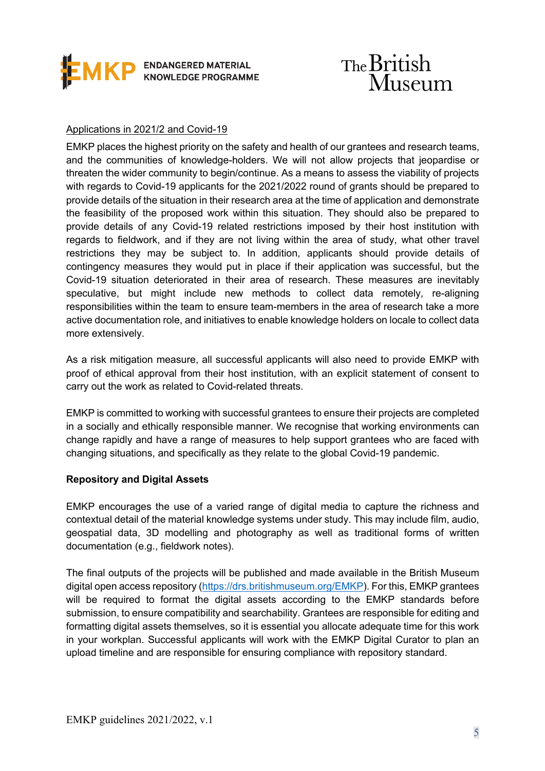



# Applications in 2021/2 and Covid-19

EMKP places the highest priority on the safety and health of our grantees and research teams, and the communities of knowledge-holders. We will not allow projects that jeopardise or threaten the wider community to begin/continue. As a means to assess the viability of projects with regards to Covid-19 applicants for the 2021/2022 round of grants should be prepared to provide details of the situation in their research area at the time of application and demonstrate the feasibility of the proposed work within this situation. They should also be prepared to provide details of any Covid-19 related restrictions imposed by their host institution with regards to fieldwork, and if they are not living within the area of study, what other travel restrictions they may be subject to. In addition, applicants should provide details of contingency measures they would put in place if their application was successful, but the Covid-19 situation deteriorated in their area of research. These measures are inevitably speculative, but might include new methods to collect data remotely, re-aligning responsibilities within the team to ensure team-members in the area of research take a more active documentation role, and initiatives to enable knowledge holders on locale to collect data more extensively.

As a risk mitigation measure, all successful applicants will also need to provide EMKP with proof of ethical approval from their host institution, with an explicit statement of consent to carry out the work as related to Covid-related threats.

EMKP is committed to working with successful grantees to ensure their projects are completed in a socially and ethically responsible manner. We recognise that working environments can change rapidly and have a range of measures to help support grantees who are faced with changing situations, and specifically as they relate to the global Covid-19 pandemic.

## **Repository and Digital Assets**

EMKP encourages the use of a varied range of digital media to capture the richness and contextual detail of the material knowledge systems under study. This may include film, audio, geospatial data, 3D modelling and photography as well as traditional forms of written documentation (e.g., fieldwork notes).

The final outputs of the projects will be published and made available in the British Museum digital open access repository (https://drs.britishmuseum.org/EMKP). For this, EMKP grantees will be required to format the digital assets according to the EMKP standards before submission, to ensure compatibility and searchability. Grantees are responsible for editing and formatting digital assets themselves, so it is essential you allocate adequate time for this work in your workplan. Successful applicants will work with the EMKP Digital Curator to plan an upload timeline and are responsible for ensuring compliance with repository standard.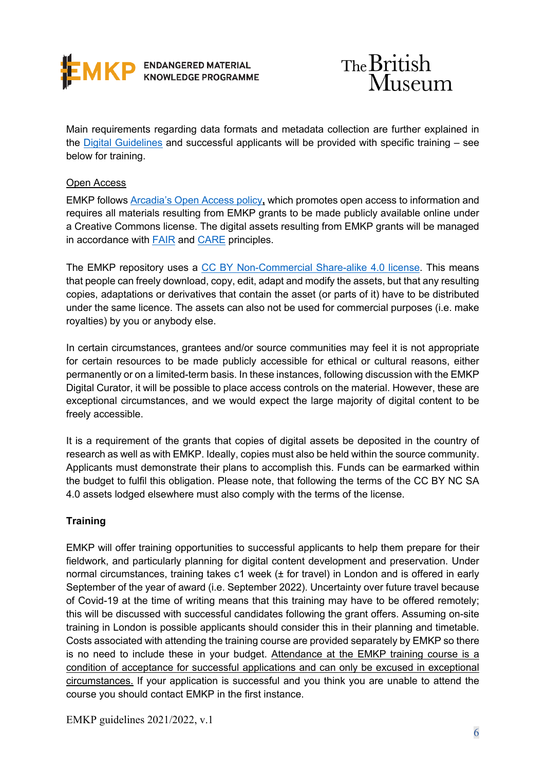



Main requirements regarding data formats and metadata collection are further explained in the Digital Guidelines and successful applicants will be provided with specific training – see below for training.

# Open Access

EMKP follows Arcadia's Open Access policy**,** which promotes open access to information and requires all materials resulting from EMKP grants to be made publicly available online under a Creative Commons license. The digital assets resulting from EMKP grants will be managed in accordance with FAIR and CARE principles.

The EMKP repository uses a CC BY Non-Commercial Share-alike 4.0 license. This means that people can freely download, copy, edit, adapt and modify the assets, but that any resulting copies, adaptations or derivatives that contain the asset (or parts of it) have to be distributed under the same licence. The assets can also not be used for commercial purposes (i.e. make royalties) by you or anybody else.

In certain circumstances, grantees and/or source communities may feel it is not appropriate for certain resources to be made publicly accessible for ethical or cultural reasons, either permanently or on a limited-term basis. In these instances, following discussion with the EMKP Digital Curator, it will be possible to place access controls on the material. However, these are exceptional circumstances, and we would expect the large majority of digital content to be freely accessible.

It is a requirement of the grants that copies of digital assets be deposited in the country of research as well as with EMKP. Ideally, copies must also be held within the source community. Applicants must demonstrate their plans to accomplish this. Funds can be earmarked within the budget to fulfil this obligation. Please note, that following the terms of the CC BY NC SA 4.0 assets lodged elsewhere must also comply with the terms of the license.

# **Training**

EMKP will offer training opportunities to successful applicants to help them prepare for their fieldwork, and particularly planning for digital content development and preservation. Under normal circumstances, training takes c1 week (± for travel) in London and is offered in early September of the year of award (i.e. September 2022). Uncertainty over future travel because of Covid-19 at the time of writing means that this training may have to be offered remotely; this will be discussed with successful candidates following the grant offers. Assuming on-site training in London is possible applicants should consider this in their planning and timetable. Costs associated with attending the training course are provided separately by EMKP so there is no need to include these in your budget. Attendance at the EMKP training course is a condition of acceptance for successful applications and can only be excused in exceptional circumstances. If your application is successful and you think you are unable to attend the course you should contact EMKP in the first instance.

EMKP guidelines 2021/2022, v.1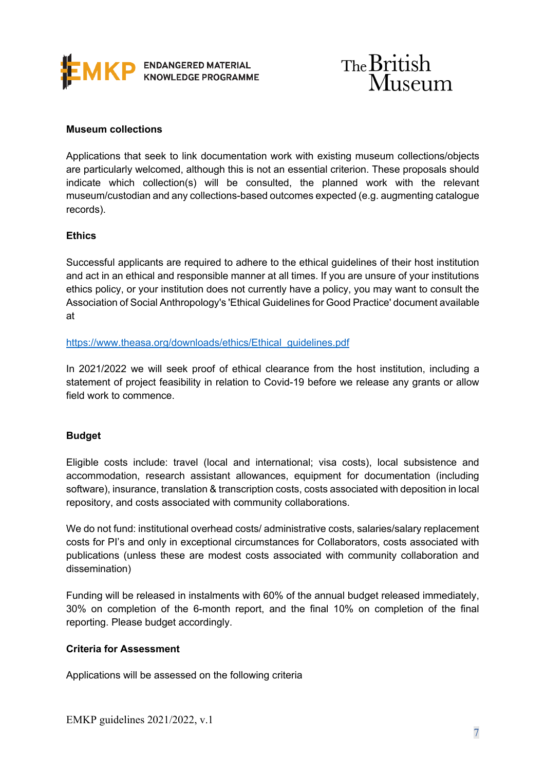



### **Museum collections**

Applications that seek to link documentation work with existing museum collections/objects are particularly welcomed, although this is not an essential criterion. These proposals should indicate which collection(s) will be consulted, the planned work with the relevant museum/custodian and any collections-based outcomes expected (e.g. augmenting catalogue records).

### **Ethics**

Successful applicants are required to adhere to the ethical guidelines of their host institution and act in an ethical and responsible manner at all times. If you are unsure of your institutions ethics policy, or your institution does not currently have a policy, you may want to consult the Association of Social Anthropology's 'Ethical Guidelines for Good Practice' document available at

### https://www.theasa.org/downloads/ethics/Ethical\_guidelines.pdf

In 2021/2022 we will seek proof of ethical clearance from the host institution, including a statement of project feasibility in relation to Covid-19 before we release any grants or allow field work to commence.

## **Budget**

Eligible costs include: travel (local and international; visa costs), local subsistence and accommodation, research assistant allowances, equipment for documentation (including software), insurance, translation & transcription costs, costs associated with deposition in local repository, and costs associated with community collaborations.

We do not fund: institutional overhead costs/ administrative costs, salaries/salary replacement costs for PI's and only in exceptional circumstances for Collaborators, costs associated with publications (unless these are modest costs associated with community collaboration and dissemination)

Funding will be released in instalments with 60% of the annual budget released immediately, 30% on completion of the 6-month report, and the final 10% on completion of the final reporting. Please budget accordingly.

# **Criteria for Assessment**

Applications will be assessed on the following criteria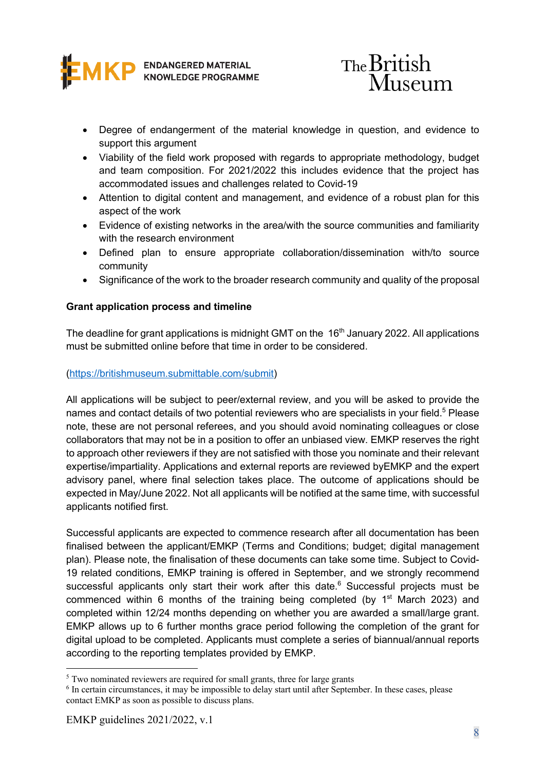



- Degree of endangerment of the material knowledge in question, and evidence to support this argument
- Viability of the field work proposed with regards to appropriate methodology, budget and team composition. For 2021/2022 this includes evidence that the project has accommodated issues and challenges related to Covid-19
- Attention to digital content and management, and evidence of a robust plan for this aspect of the work
- Evidence of existing networks in the area/with the source communities and familiarity with the research environment
- Defined plan to ensure appropriate collaboration/dissemination with/to source community
- Significance of the work to the broader research community and quality of the proposal

# **Grant application process and timeline**

The deadline for grant applications is midnight GMT on the 16<sup>th</sup> January 2022. All applications must be submitted online before that time in order to be considered.

# (https://britishmuseum.submittable.com/submit)

All applications will be subject to peer/external review, and you will be asked to provide the names and contact details of two potential reviewers who are specialists in your field.<sup>5</sup> Please note, these are not personal referees, and you should avoid nominating colleagues or close collaborators that may not be in a position to offer an unbiased view. EMKP reserves the right to approach other reviewers if they are not satisfied with those you nominate and their relevant expertise/impartiality. Applications and external reports are reviewed byEMKP and the expert advisory panel, where final selection takes place. The outcome of applications should be expected in May/June 2022. Not all applicants will be notified at the same time, with successful applicants notified first.

Successful applicants are expected to commence research after all documentation has been finalised between the applicant/EMKP (Terms and Conditions; budget; digital management plan). Please note, the finalisation of these documents can take some time. Subject to Covid-19 related conditions, EMKP training is offered in September, and we strongly recommend successful applicants only start their work after this date.<sup>6</sup> Successful projects must be commenced within 6 months of the training being completed (by  $1<sup>st</sup>$  March 2023) and completed within 12/24 months depending on whether you are awarded a small/large grant. EMKP allows up to 6 further months grace period following the completion of the grant for digital upload to be completed. Applicants must complete a series of biannual/annual reports according to the reporting templates provided by EMKP.

<sup>&</sup>lt;sup>5</sup> Two nominated reviewers are required for small grants, three for large grants

<sup>6</sup> In certain circumstances, it may be impossible to delay start until after September. In these cases, please contact EMKP as soon as possible to discuss plans.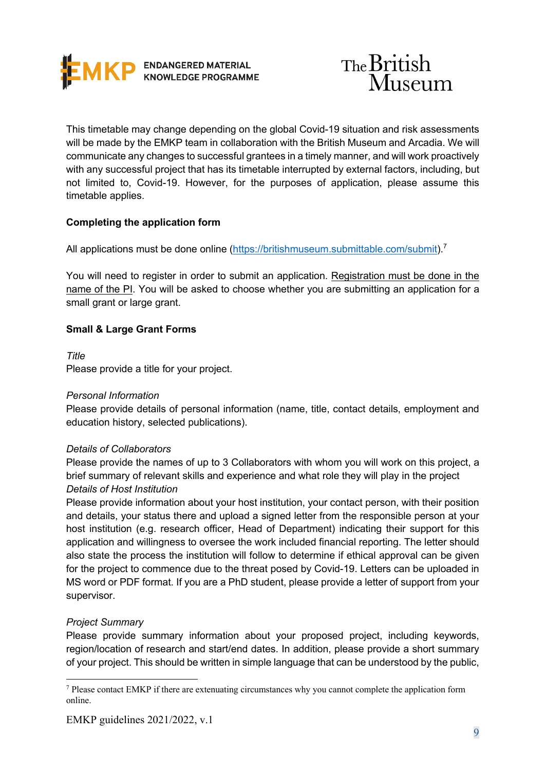



This timetable may change depending on the global Covid-19 situation and risk assessments will be made by the EMKP team in collaboration with the British Museum and Arcadia. We will communicate any changes to successful grantees in a timely manner, and will work proactively with any successful project that has its timetable interrupted by external factors, including, but not limited to, Covid-19. However, for the purposes of application, please assume this timetable applies.

# **Completing the application form**

All applications must be done online (https://britishmuseum.submittable.com/submit).<sup>7</sup>

You will need to register in order to submit an application. Registration must be done in the name of the PI. You will be asked to choose whether you are submitting an application for a small grant or large grant.

## **Small & Large Grant Forms**

*Title* Please provide a title for your project.

## *Personal Information*

Please provide details of personal information (name, title, contact details, employment and education history, selected publications).

## *Details of Collaborators*

Please provide the names of up to 3 Collaborators with whom you will work on this project, a brief summary of relevant skills and experience and what role they will play in the project *Details of Host Institution*

Please provide information about your host institution, your contact person, with their position and details, your status there and upload a signed letter from the responsible person at your host institution (e.g. research officer, Head of Department) indicating their support for this application and willingness to oversee the work included financial reporting. The letter should also state the process the institution will follow to determine if ethical approval can be given for the project to commence due to the threat posed by Covid-19. Letters can be uploaded in MS word or PDF format. If you are a PhD student, please provide a letter of support from your supervisor.

## *Project Summary*

Please provide summary information about your proposed project, including keywords, region/location of research and start/end dates. In addition, please provide a short summary of your project. This should be written in simple language that can be understood by the public,

<sup>7</sup> Please contact EMKP if there are extenuating circumstances why you cannot complete the application form online.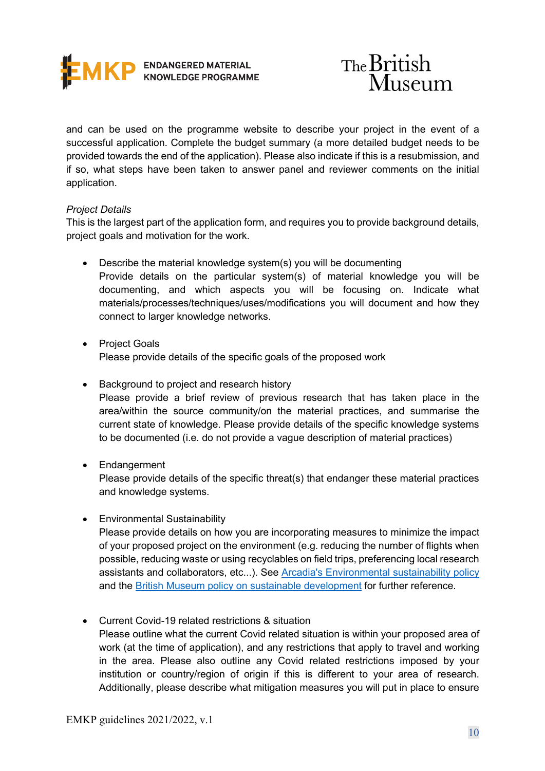



and can be used on the programme website to describe your project in the event of a successful application. Complete the budget summary (a more detailed budget needs to be provided towards the end of the application). Please also indicate if this is a resubmission, and if so, what steps have been taken to answer panel and reviewer comments on the initial application.

## *Project Details*

This is the largest part of the application form, and requires you to provide background details, project goals and motivation for the work.

- Describe the material knowledge system(s) you will be documenting Provide details on the particular system(s) of material knowledge you will be documenting, and which aspects you will be focusing on. Indicate what materials/processes/techniques/uses/modifications you will document and how they connect to larger knowledge networks.
- Project Goals Please provide details of the specific goals of the proposed work
- Background to project and research history Please provide a brief review of previous research that has taken place in the area/within the source community/on the material practices, and summarise the current state of knowledge. Please provide details of the specific knowledge systems to be documented (i.e. do not provide a vague description of material practices)
- Endangerment

Please provide details of the specific threat(s) that endanger these material practices and knowledge systems.

• Environmental Sustainability

Please provide details on how you are incorporating measures to minimize the impact of your proposed project on the environment (e.g. reducing the number of flights when possible, reducing waste or using recyclables on field trips, preferencing local research assistants and collaborators, etc...). See Arcadia's Environmental sustainability policy and the British Museum policy on sustainable development for further reference.

• Current Covid-19 related restrictions & situation Please outline what the current Covid related situation is within your proposed area of work (at the time of application), and any restrictions that apply to travel and working in the area. Please also outline any Covid related restrictions imposed by your institution or country/region of origin if this is different to your area of research. Additionally, please describe what mitigation measures you will put in place to ensure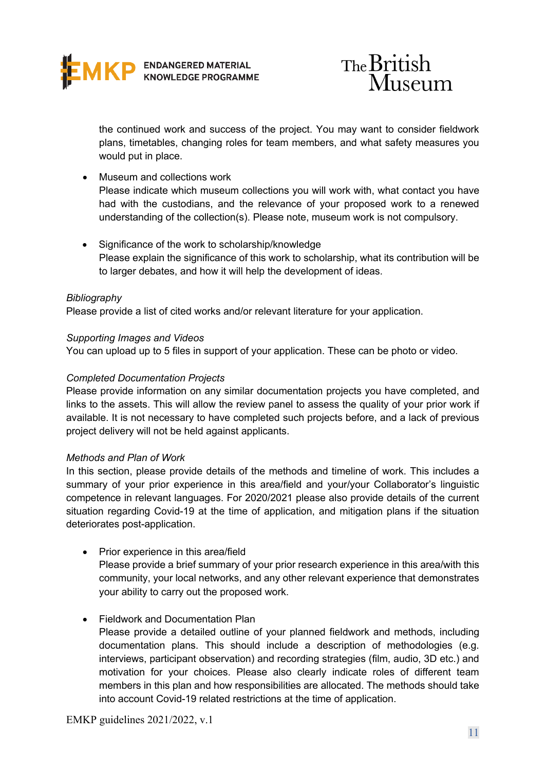



the continued work and success of the project. You may want to consider fieldwork plans, timetables, changing roles for team members, and what safety measures you would put in place.

- Museum and collections work Please indicate which museum collections you will work with, what contact you have had with the custodians, and the relevance of your proposed work to a renewed understanding of the collection(s). Please note, museum work is not compulsory.
- Significance of the work to scholarship/knowledge Please explain the significance of this work to scholarship, what its contribution will be to larger debates, and how it will help the development of ideas.

### *Bibliography*

Please provide a list of cited works and/or relevant literature for your application.

### *Supporting Images and Videos*

You can upload up to 5 files in support of your application. These can be photo or video.

### *Completed Documentation Projects*

Please provide information on any similar documentation projects you have completed, and links to the assets. This will allow the review panel to assess the quality of your prior work if available. It is not necessary to have completed such projects before, and a lack of previous project delivery will not be held against applicants.

#### *Methods and Plan of Work*

In this section, please provide details of the methods and timeline of work. This includes a summary of your prior experience in this area/field and your/your Collaborator's linguistic competence in relevant languages. For 2020/2021 please also provide details of the current situation regarding Covid-19 at the time of application, and mitigation plans if the situation deteriorates post-application.

• Prior experience in this area/field Please provide a brief summary of your prior research experience in this area/with this community, your local networks, and any other relevant experience that demonstrates your ability to carry out the proposed work.

## • Fieldwork and Documentation Plan

Please provide a detailed outline of your planned fieldwork and methods, including documentation plans. This should include a description of methodologies (e.g. interviews, participant observation) and recording strategies (film, audio, 3D etc.) and motivation for your choices. Please also clearly indicate roles of different team members in this plan and how responsibilities are allocated. The methods should take into account Covid-19 related restrictions at the time of application.

EMKP guidelines 2021/2022, v.1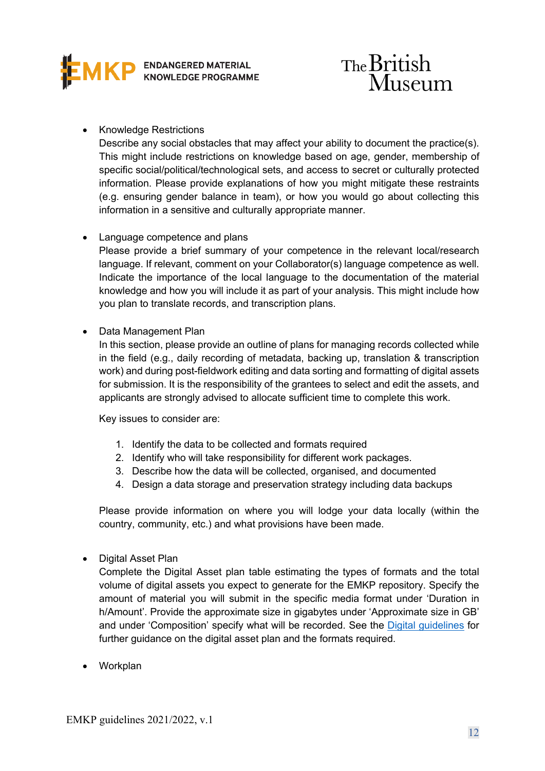



# • Knowledge Restrictions

Describe any social obstacles that may affect your ability to document the practice(s). This might include restrictions on knowledge based on age, gender, membership of specific social/political/technological sets, and access to secret or culturally protected information. Please provide explanations of how you might mitigate these restraints (e.g. ensuring gender balance in team), or how you would go about collecting this information in a sensitive and culturally appropriate manner.

## • Language competence and plans

Please provide a brief summary of your competence in the relevant local/research language. If relevant, comment on your Collaborator(s) language competence as well. Indicate the importance of the local language to the documentation of the material knowledge and how you will include it as part of your analysis. This might include how you plan to translate records, and transcription plans.

# • Data Management Plan

In this section, please provide an outline of plans for managing records collected while in the field (e.g., daily recording of metadata, backing up, translation & transcription work) and during post-fieldwork editing and data sorting and formatting of digital assets for submission. It is the responsibility of the grantees to select and edit the assets, and applicants are strongly advised to allocate sufficient time to complete this work.

Key issues to consider are:

- 1. Identify the data to be collected and formats required
- 2. Identify who will take responsibility for different work packages.
- 3. Describe how the data will be collected, organised, and documented
- 4. Design a data storage and preservation strategy including data backups

Please provide information on where you will lodge your data locally (within the country, community, etc.) and what provisions have been made.

• Digital Asset Plan

Complete the Digital Asset plan table estimating the types of formats and the total volume of digital assets you expect to generate for the EMKP repository. Specify the amount of material you will submit in the specific media format under 'Duration in h/Amount'. Provide the approximate size in gigabytes under 'Approximate size in GB' and under 'Composition' specify what will be recorded. See the Digital guidelines for further guidance on the digital asset plan and the formats required.

• Workplan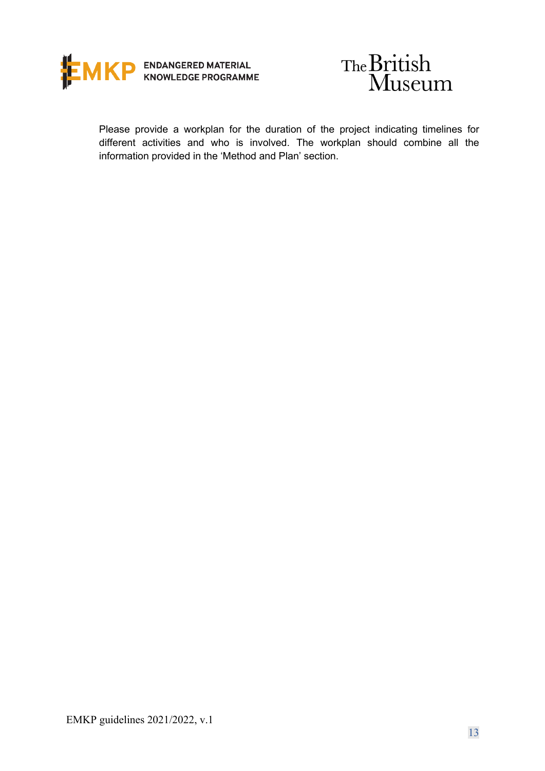



Please provide a workplan for the duration of the project indicating timelines for different activities and who is involved. The workplan should combine all the information provided in the 'Method and Plan' section.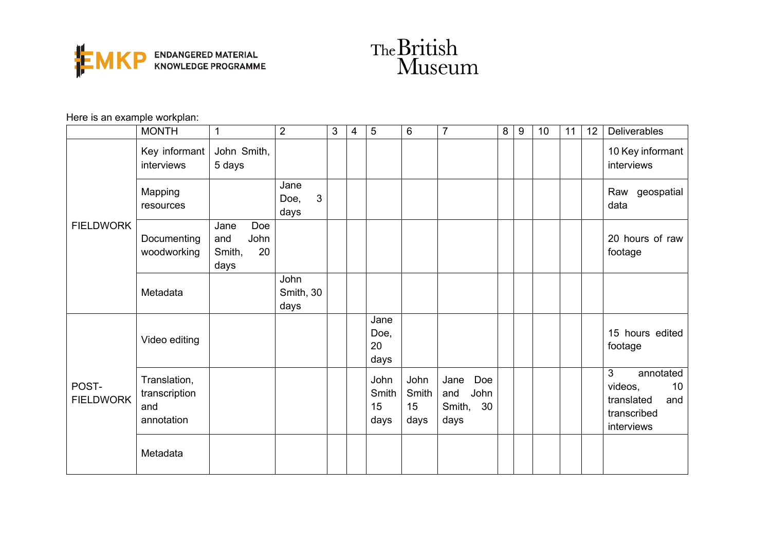



Here is an example workplan:

|                           | <b>MONTH</b>                                       | 1                                                  | $\overline{2}$                       | 3 | 4 | 5                           | $6\phantom{1}$              | $\overline{7}$                                     | 8 | 9 | 10 | 11 | 12 | Deliverables                                                                      |
|---------------------------|----------------------------------------------------|----------------------------------------------------|--------------------------------------|---|---|-----------------------------|-----------------------------|----------------------------------------------------|---|---|----|----|----|-----------------------------------------------------------------------------------|
| <b>FIELDWORK</b>          | Key informant<br>interviews                        | John Smith,<br>5 days                              |                                      |   |   |                             |                             |                                                    |   |   |    |    |    | 10 Key informant<br>interviews                                                    |
|                           | Mapping<br>resources                               |                                                    | Jane<br>$\mathbf{3}$<br>Doe,<br>days |   |   |                             |                             |                                                    |   |   |    |    |    | Raw geospatial<br>data                                                            |
|                           | Documenting<br>woodworking                         | Doe<br>Jane<br>John<br>and<br>20<br>Smith,<br>days |                                      |   |   |                             |                             |                                                    |   |   |    |    |    | 20 hours of raw<br>footage                                                        |
|                           | Metadata                                           |                                                    | John<br>Smith, 30<br>days            |   |   |                             |                             |                                                    |   |   |    |    |    |                                                                                   |
| POST-<br><b>FIELDWORK</b> | Video editing                                      |                                                    |                                      |   |   | Jane<br>Doe,<br>20<br>days  |                             |                                                    |   |   |    |    |    | 15 hours edited<br>footage                                                        |
|                           | Translation,<br>transcription<br>and<br>annotation |                                                    |                                      |   |   | John<br>Smith<br>15<br>days | John<br>Smith<br>15<br>days | Jane<br>Doe<br>John<br>and<br>Smith,<br>30<br>days |   |   |    |    |    | 3<br>annotated<br>10<br>videos,<br>translated<br>and<br>transcribed<br>interviews |
|                           | Metadata                                           |                                                    |                                      |   |   |                             |                             |                                                    |   |   |    |    |    |                                                                                   |